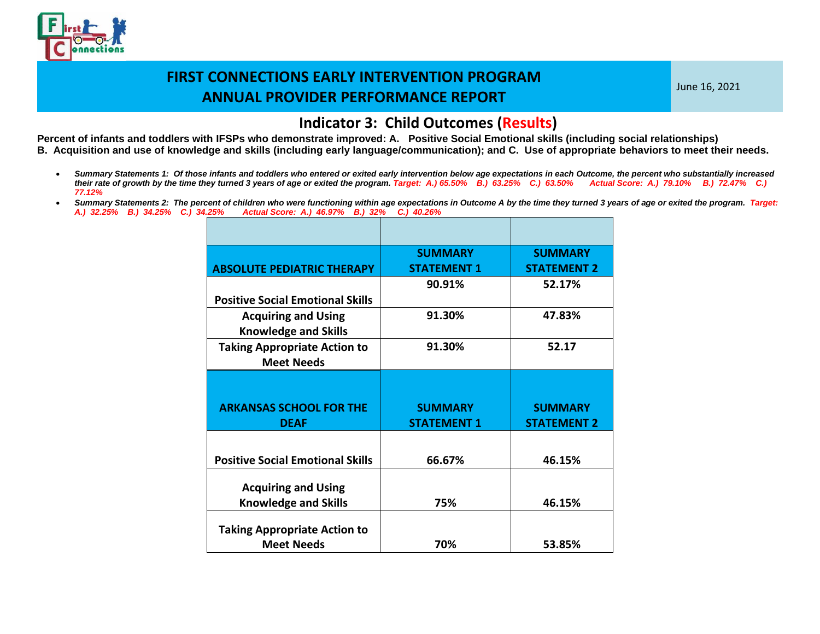

June 16, 2021

#### **Indicator 3: Child Outcomes (Results)**

- *Summary Statements 1: Of those infants and toddlers who entered or exited early intervention below age expectations in each Outcome, the percent who substantially increased their rate of growth by the time they turned 3 years of age or exited the program. Target: A.) 65.50% B.) 63.25% C.) 63.50% Actual Score: A.) 79.10% B.) 72.47% C.) 77.12%*
- *Summary Statements 2: The percent of children who were functioning within age expectations in Outcome A by the time they turned 3 years of age or exited the program. Target: A.) 32.25% B.) 34.25% C.) 34.25% Actual Score: A.) 46.97% B.) 32% C.) 40.26%*

|                                                           | <b>SUMMARY</b>                       | <b>SUMMARY</b>                       |
|-----------------------------------------------------------|--------------------------------------|--------------------------------------|
| <b>ABSOLUTE PEDIATRIC THERAPY</b>                         | <b>STATEMENT 1</b>                   | <b>STATEMENT 2</b>                   |
|                                                           | 90.91%                               | 52.17%                               |
| <b>Positive Social Emotional Skills</b>                   |                                      |                                      |
| <b>Acquiring and Using</b><br><b>Knowledge and Skills</b> | 91.30%                               | 47.83%                               |
| <b>Taking Appropriate Action to</b><br><b>Meet Needs</b>  | 91.30%                               | 52.17                                |
|                                                           |                                      |                                      |
| <b>ARKANSAS SCHOOL FOR THE</b><br><b>DEAF</b>             | <b>SUMMARY</b><br><b>STATEMENT 1</b> | <b>SUMMARY</b><br><b>STATEMENT 2</b> |
|                                                           |                                      |                                      |
| <b>Positive Social Emotional Skills</b>                   | 66.67%                               | 46.15%                               |
| <b>Acquiring and Using</b>                                |                                      |                                      |
|                                                           |                                      |                                      |
| <b>Knowledge and Skills</b>                               | 75%                                  | 46.15%                               |
| <b>Taking Appropriate Action to</b>                       |                                      |                                      |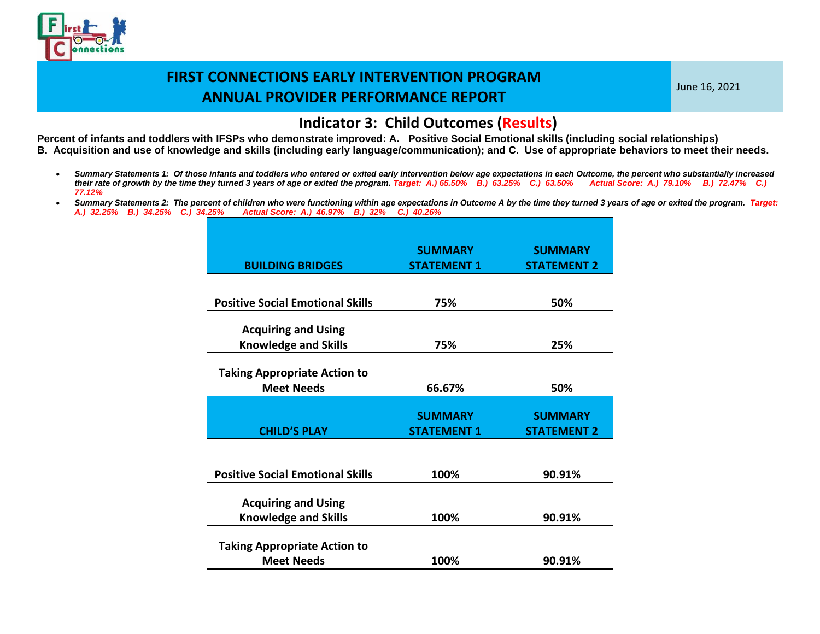

June 16, 2021

#### **Indicator 3: Child Outcomes (Results)**

- *Summary Statements 1: Of those infants and toddlers who entered or exited early intervention below age expectations in each Outcome, the percent who substantially increased their rate of growth by the time they turned 3 years of age or exited the program. Target: A.) 65.50% B.) 63.25% C.) 63.50% Actual Score: A.) 79.10% B.) 72.47% C.) 77.12%*
- *Summary Statements 2: The percent of children who were functioning within age expectations in Outcome A by the time they turned 3 years of age or exited the program. Target: A.) 32.25% B.) 34.25% C.) 34.25% Actual Score: A.) 46.97% B.) 32% C.) 40.26%*

| <b>BUILDING BRIDGES</b>                                   | <b>SUMMARY</b><br><b>STATEMENT 1</b> | <b>SUMMARY</b><br><b>STATEMENT 2</b> |
|-----------------------------------------------------------|--------------------------------------|--------------------------------------|
|                                                           |                                      |                                      |
| <b>Positive Social Emotional Skills</b>                   | 75%                                  | 50%                                  |
| <b>Acquiring and Using</b><br><b>Knowledge and Skills</b> | 75%                                  | 25%                                  |
| <b>Taking Appropriate Action to</b><br><b>Meet Needs</b>  | 66.67%                               | 50%                                  |
|                                                           |                                      |                                      |
| <b>CHILD'S PLAY</b>                                       | <b>SUMMARY</b><br><b>STATEMENT 1</b> | <b>SUMMARY</b><br><b>STATEMENT 2</b> |
|                                                           |                                      |                                      |
| <b>Positive Social Emotional Skills</b>                   | 100%                                 | 90.91%                               |
| <b>Acquiring and Using</b><br><b>Knowledge and Skills</b> | 100%                                 | 90.91%                               |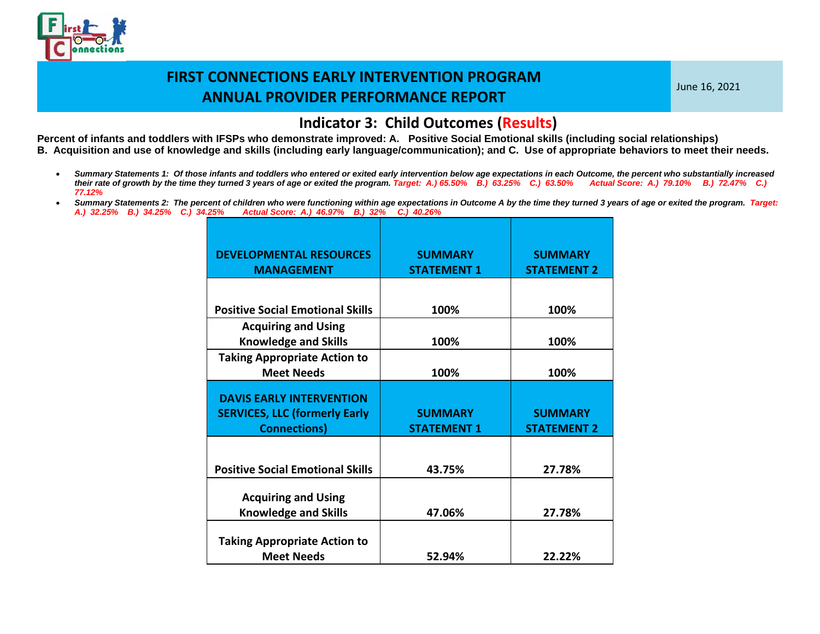

June 16, 2021

#### **Indicator 3: Child Outcomes (Results)**

- *Summary Statements 1: Of those infants and toddlers who entered or exited early intervention below age expectations in each Outcome, the percent who substantially increased their rate of growth by the time they turned 3 years of age or exited the program. Target: A.) 65.50% B.) 63.25% C.) 63.50% Actual Score: A.) 79.10% B.) 72.47% C.) 77.12%*
- Summary Statements 2: The percent of children who were functioning within age expectations in Outcome A by the time they turned 3 years of age or exited the program. Target: *A.) 32.25% B.) 34.25% C.) 34.25% Actual Score: A.) 46.97% B.) 32% C.) 40.26%*

| <b>DEVELOPMENTAL RESOURCES</b><br><b>MANAGEMENT</b>                                            | <b>SUMMARY</b><br><b>STATEMENT 1</b> | <b>SUMMARY</b><br><b>STATEMENT 2</b> |
|------------------------------------------------------------------------------------------------|--------------------------------------|--------------------------------------|
|                                                                                                |                                      |                                      |
| <b>Positive Social Emotional Skills</b>                                                        | 100%                                 | 100%                                 |
| <b>Acquiring and Using</b><br><b>Knowledge and Skills</b>                                      | 100%                                 | 100%                                 |
| <b>Taking Appropriate Action to</b><br><b>Meet Needs</b>                                       | 100%                                 | 100%                                 |
| <b>DAVIS EARLY INTERVENTION</b><br><b>SERVICES, LLC (formerly Early</b><br><b>Connections)</b> | <b>SUMMARY</b><br><b>STATEMENT 1</b> | <b>SUMMARY</b><br><b>STATEMENT 2</b> |
| <b>Positive Social Emotional Skills</b>                                                        | 43.75%                               | 27.78%                               |
| <b>Acquiring and Using</b><br><b>Knowledge and Skills</b>                                      | 47.06%                               | 27.78%                               |
| <b>Taking Appropriate Action to</b><br><b>Meet Needs</b>                                       | 52.94%                               | 22.22%                               |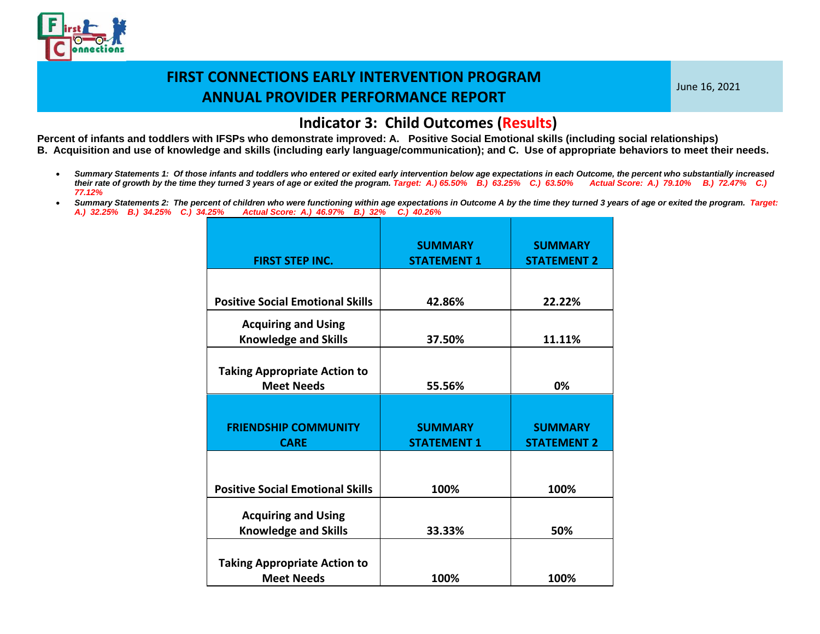

June 16, 2021

#### **Indicator 3: Child Outcomes (Results)**

- *Summary Statements 1: Of those infants and toddlers who entered or exited early intervention below age expectations in each Outcome, the percent who substantially increased their rate of growth by the time they turned 3 years of age or exited the program. Target: A.) 65.50% B.) 63.25% C.) 63.50% Actual Score: A.) 79.10% B.) 72.47% C.) 77.12%*
- *Summary Statements 2: The percent of children who were functioning within age expectations in Outcome A by the time they turned 3 years of age or exited the program. Target: A.) 32.25% B.) 34.25% C.) 34.25% Actual Score: A.) 46.97% B.) 32% C.) 40.26%*

| <b>FIRST STEP INC.</b>                                    | <b>SUMMARY</b><br><b>STATEMENT 1</b> | <b>SUMMARY</b><br><b>STATEMENT 2</b> |
|-----------------------------------------------------------|--------------------------------------|--------------------------------------|
|                                                           |                                      |                                      |
| <b>Positive Social Emotional Skills</b>                   | 42.86%                               | 22.22%                               |
| <b>Acquiring and Using</b><br><b>Knowledge and Skills</b> | 37.50%                               | 11.11%                               |
| <b>Taking Appropriate Action to</b><br><b>Meet Needs</b>  | 55.56%                               | 0%                                   |
|                                                           |                                      |                                      |
| <b>FRIENDSHIP COMMUNITY</b><br><b>CARE</b>                | <b>SUMMARY</b><br><b>STATEMENT 1</b> | <b>SUMMARY</b><br><b>STATEMENT 2</b> |
|                                                           |                                      |                                      |
| <b>Positive Social Emotional Skills</b>                   | 100%                                 | 100%                                 |
| <b>Acquiring and Using</b>                                |                                      |                                      |
| <b>Knowledge and Skills</b>                               | 33.33%                               | 50%                                  |
| <b>Taking Appropriate Action to</b>                       |                                      |                                      |
|                                                           |                                      |                                      |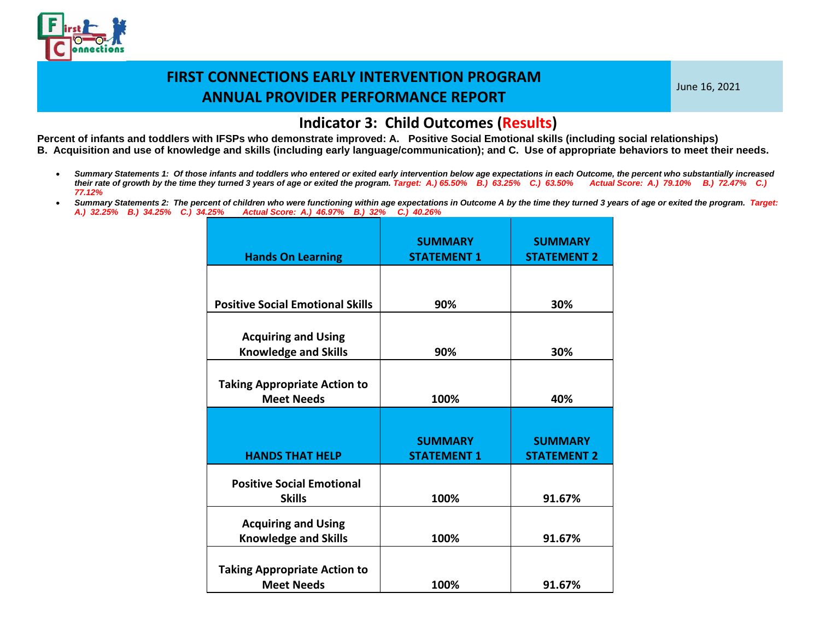

June 16, 2021

#### **Indicator 3: Child Outcomes (Results)**

- *Summary Statements 1: Of those infants and toddlers who entered or exited early intervention below age expectations in each Outcome, the percent who substantially increased their rate of growth by the time they turned 3 years of age or exited the program. Target: A.) 65.50% B.) 63.25% C.) 63.50% Actual Score: A.) 79.10% B.) 72.47% C.) 77.12%*
- *Summary Statements 2: The percent of children who were functioning within age expectations in Outcome A by the time they turned 3 years of age or exited the program. Target: A.) 32.25% B.) 34.25% C.) 34.25% Actual Score: A.) 46.97% B.) 32% C.) 40.26%*

| <b>Hands On Learning</b>                                  | <b>SUMMARY</b><br><b>STATEMENT 1</b> | <b>SUMMARY</b><br><b>STATEMENT 2</b> |
|-----------------------------------------------------------|--------------------------------------|--------------------------------------|
|                                                           |                                      |                                      |
| <b>Positive Social Emotional Skills</b>                   | 90%                                  | 30%                                  |
| <b>Acquiring and Using</b><br><b>Knowledge and Skills</b> | 90%                                  | 30%                                  |
| <b>Taking Appropriate Action to</b><br><b>Meet Needs</b>  | 100%                                 | 40%                                  |
|                                                           |                                      |                                      |
|                                                           |                                      |                                      |
| <b>HANDS THAT HELP</b>                                    | <b>SUMMARY</b><br><b>STATEMENT 1</b> | <b>SUMMARY</b><br><b>STATEMENT 2</b> |
| <b>Positive Social Emotional</b>                          |                                      |                                      |
| <b>Skills</b>                                             | 100%                                 | 91.67%                               |
| <b>Acquiring and Using</b>                                |                                      |                                      |
| <b>Knowledge and Skills</b>                               | 100%                                 | 91.67%                               |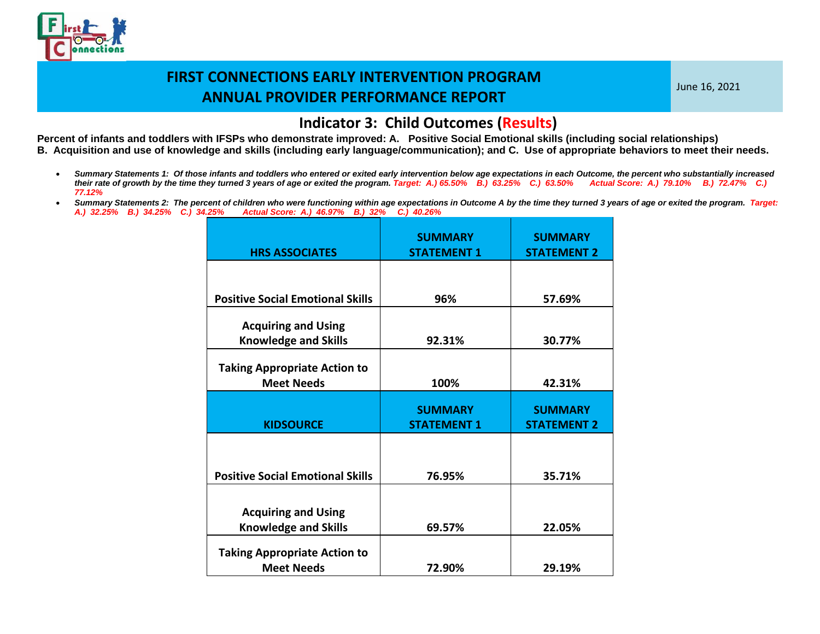

June 16, 2021

#### **Indicator 3: Child Outcomes (Results)**

- *Summary Statements 1: Of those infants and toddlers who entered or exited early intervention below age expectations in each Outcome, the percent who substantially increased their rate of growth by the time they turned 3 years of age or exited the program. Target: A.) 65.50% B.) 63.25% C.) 63.50% Actual Score: A.) 79.10% B.) 72.47% C.) 77.12%*
- *Summary Statements 2: The percent of children who were functioning within age expectations in Outcome A by the time they turned 3 years of age or exited the program. Target: A.) 32.25% B.) 34.25% C.) 34.25% Actual Score: A.) 46.97% B.) 32% C.) 40.26%*

| <b>HRS ASSOCIATES</b>                                    | <b>SUMMARY</b><br><b>STATEMENT 1</b> | <b>SUMMARY</b><br><b>STATEMENT 2</b> |
|----------------------------------------------------------|--------------------------------------|--------------------------------------|
|                                                          |                                      |                                      |
| <b>Positive Social Emotional Skills</b>                  | 96%                                  | 57.69%                               |
| <b>Acquiring and Using</b>                               |                                      |                                      |
| <b>Knowledge and Skills</b>                              | 92.31%                               | 30.77%                               |
| <b>Taking Appropriate Action to</b><br><b>Meet Needs</b> | 100%                                 | 42.31%                               |
|                                                          |                                      |                                      |
|                                                          | <b>SUMMARY</b>                       | <b>SUMMARY</b>                       |
| <b>KIDSOURCE</b>                                         | <b>STATEMENT 1</b>                   | <b>STATEMENT 2</b>                   |
| <b>Positive Social Emotional Skills</b>                  | 76.95%                               | 35.71%                               |
|                                                          |                                      |                                      |
| <b>Acquiring and Using</b>                               |                                      |                                      |
| <b>Knowledge and Skills</b>                              | 69.57%                               | 22.05%                               |
| <b>Taking Appropriate Action to</b><br><b>Meet Needs</b> |                                      |                                      |
|                                                          | 72.90%                               | 29.19%                               |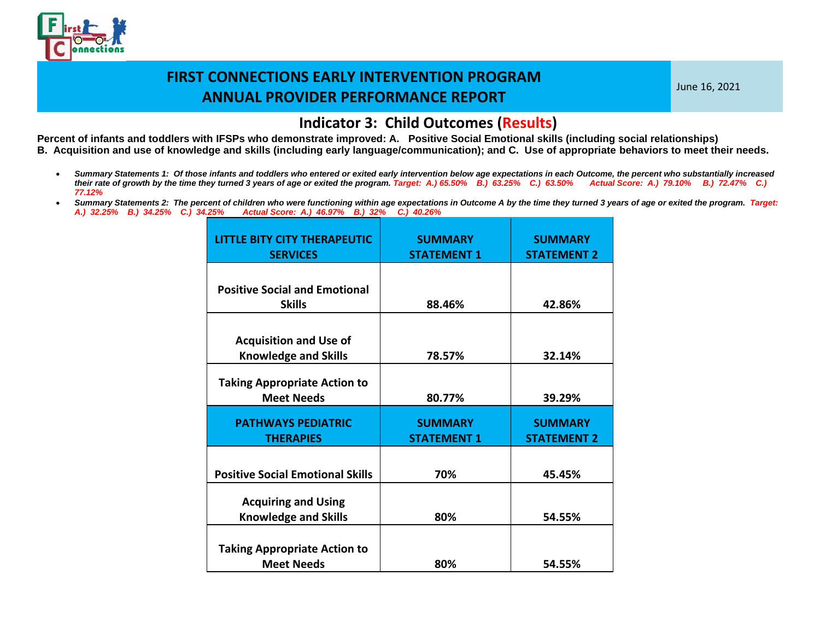

June 16, 2021

#### **Indicator 3: Child Outcomes (Results)**

- *Summary Statements 1: Of those infants and toddlers who entered or exited early intervention below age expectations in each Outcome, the percent who substantially increased their rate of growth by the time they turned 3 years of age or exited the program. Target: A.) 65.50% B.) 63.25% C.) 63.50% Actual Score: A.) 79.10% B.) 72.47% C.) 77.12%*
- Summary Statements 2: The percent of children who were functioning within age expectations in Outcome A by the time they turned 3 years of age or exited the program. Target: *A.) 32.25% B.) 34.25% C.) 34.25% Actual Score: A.) 46.97% B.) 32% C.) 40.26%*

| <b>LITTLE BITY CITY THERAPEUTIC</b><br><b>SERVICES</b>       | <b>SUMMARY</b><br><b>STATEMENT 1</b> | <b>SUMMARY</b><br><b>STATEMENT 2</b> |
|--------------------------------------------------------------|--------------------------------------|--------------------------------------|
| <b>Positive Social and Emotional</b><br><b>Skills</b>        | 88.46%                               | 42.86%                               |
| <b>Acquisition and Use of</b><br><b>Knowledge and Skills</b> | 78.57%                               | 32.14%                               |
| <b>Taking Appropriate Action to</b><br><b>Meet Needs</b>     | 80.77%                               | 39.29%                               |
| <b>PATHWAYS PEDIATRIC</b><br><b>THERAPIES</b>                | <b>SUMMARY</b><br><b>STATEMENT 1</b> | <b>SUMMARY</b><br><b>STATEMENT 2</b> |
| <b>Positive Social Emotional Skills</b>                      | 70%                                  | 45.45%                               |
| <b>Acquiring and Using</b><br><b>Knowledge and Skills</b>    | 80%                                  | 54.55%                               |
| <b>Taking Appropriate Action to</b><br><b>Meet Needs</b>     | 80%                                  | 54.55%                               |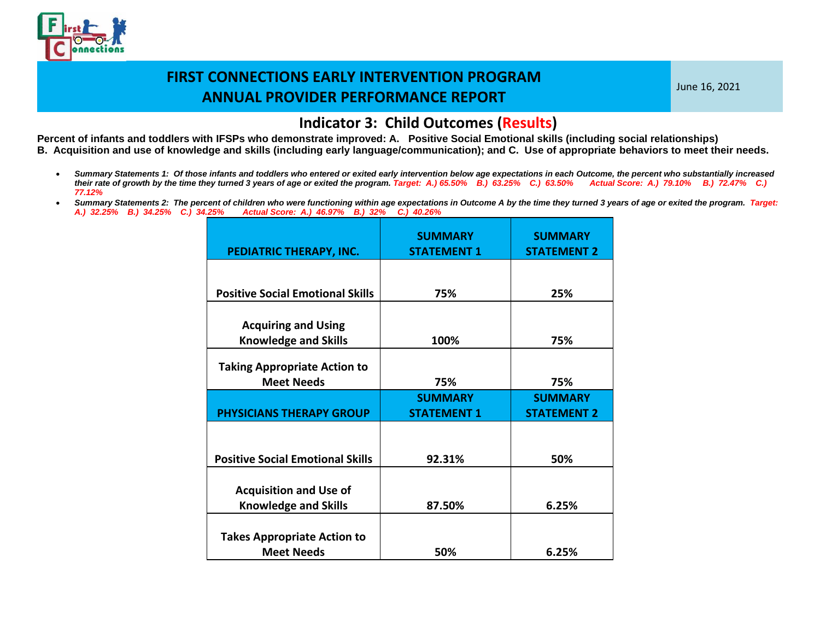

June 16, 2021

#### **Indicator 3: Child Outcomes (Results)**

- *Summary Statements 1: Of those infants and toddlers who entered or exited early intervention below age expectations in each Outcome, the percent who substantially increased their rate of growth by the time they turned 3 years of age or exited the program. Target: A.) 65.50% B.) 63.25% C.) 63.50% Actual Score: A.) 79.10% B.) 72.47% C.) 77.12%*
- Summary Statements 2: The percent of children who were functioning within age expectations in Outcome A by the time they turned 3 years of age or exited the program. Target: *A.) 32.25% B.) 34.25% C.) 34.25% Actual Score: A.) 46.97% B.) 32% C.) 40.26%*

| PEDIATRIC THERAPY, INC.                                      | <b>SUMMARY</b><br><b>STATEMENT 1</b> | <b>SUMMARY</b><br><b>STATEMENT 2</b> |
|--------------------------------------------------------------|--------------------------------------|--------------------------------------|
|                                                              |                                      |                                      |
| <b>Positive Social Emotional Skills</b>                      | 75%                                  | 25%                                  |
| <b>Acquiring and Using</b><br><b>Knowledge and Skills</b>    | 100%                                 | 75%                                  |
| <b>Taking Appropriate Action to</b><br><b>Meet Needs</b>     | 75%                                  | 75%                                  |
|                                                              | <b>SUMMARY</b>                       | <b>SUMMARY</b>                       |
| <b>PHYSICIANS THERAPY GROUP</b>                              | <b>STATEMENT 1</b>                   | <b>STATEMENT 2</b>                   |
|                                                              |                                      |                                      |
| <b>Positive Social Emotional Skills</b>                      | 92.31%                               | 50%                                  |
| <b>Acquisition and Use of</b><br><b>Knowledge and Skills</b> | 87.50%                               | 6.25%                                |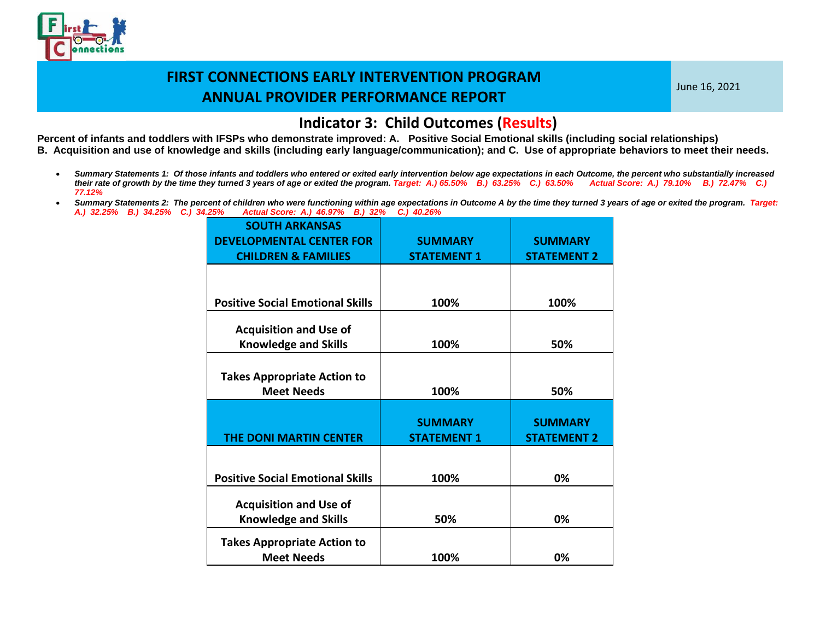

June 16, 2021

#### **Indicator 3: Child Outcomes (Results)**

- *Summary Statements 1: Of those infants and toddlers who entered or exited early intervention below age expectations in each Outcome, the percent who substantially increased their rate of growth by the time they turned 3 years of age or exited the program. Target: A.) 65.50% B.) 63.25% C.) 63.50% Actual Score: A.) 79.10% B.) 72.47% C.) 77.12%*
- Summary Statements 2: The percent of children who were functioning within age expectations in Outcome A by the time they turned 3 years of age or exited the program. Target:<br>A.) 32.25% B.) 34.25% C.) 34.25% Actual Score: A *A.) 32.25% B.) 34.25% C.) 34.25% Actual Score: A.) 46.97% B.) 32% C.) 40.26%*

| <b>SOUTH ARKANSAS</b><br><b>DEVELOPMENTAL CENTER FOR</b> | <b>SUMMARY</b>     | <b>SUMMARY</b>     |
|----------------------------------------------------------|--------------------|--------------------|
| <b>CHILDREN &amp; FAMILIES</b>                           | <b>STATEMENT 1</b> | <b>STATEMENT 2</b> |
|                                                          |                    |                    |
| <b>Positive Social Emotional Skills</b>                  | 100%               | 100%               |
| <b>Acquisition and Use of</b>                            |                    |                    |
| <b>Knowledge and Skills</b>                              | 100%               | 50%                |
|                                                          |                    |                    |
| <b>Takes Appropriate Action to</b>                       |                    |                    |
| <b>Meet Needs</b>                                        | 100%               | 50%                |
|                                                          |                    |                    |
|                                                          | <b>SUMMARY</b>     | <b>SUMMARY</b>     |
| <b>THE DONI MARTIN CENTER</b>                            | <b>STATEMENT 1</b> | <b>STATEMENT 2</b> |
|                                                          |                    |                    |
|                                                          |                    |                    |
| <b>Positive Social Emotional Skills</b>                  | 100%               | 0%                 |
|                                                          |                    |                    |
| <b>Acquisition and Use of</b>                            |                    |                    |
| <b>Knowledge and Skills</b>                              | 50%                | 0%                 |
| <b>Takes Appropriate Action to</b>                       |                    |                    |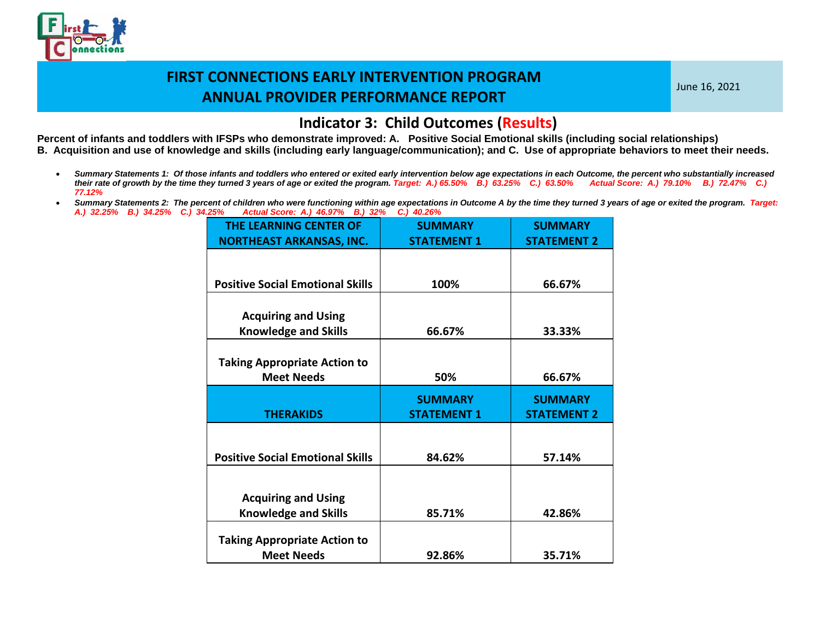

June 16, 2021

#### **Indicator 3: Child Outcomes (Results)**

- *Summary Statements 1: Of those infants and toddlers who entered or exited early intervention below age expectations in each Outcome, the percent who substantially increased their rate of growth by the time they turned 3 years of age or exited the program. Target: A.) 65.50% B.) 63.25% C.) 63.50% Actual Score: A.) 79.10% B.) 72.47% C.) 77.12%*
- Summary Statements 2: The percent of children who were functioning within age expectations in Outcome A by the time they turned 3 years of age or exited the program. Target: *A.) 32.25% B.) 34.25% C.) 34.25% Actual Score: A.) 46.97% B.) 32% C.) 40.26%*

| <b>THE LEARNING CENTER OF</b>                            | <b>SUMMARY</b>                       | <b>SUMMARY</b>                       |
|----------------------------------------------------------|--------------------------------------|--------------------------------------|
| <b>NORTHEAST ARKANSAS, INC.</b>                          | <b>STATEMENT 1</b>                   | <b>STATEMENT 2</b>                   |
|                                                          |                                      |                                      |
|                                                          |                                      |                                      |
| <b>Positive Social Emotional Skills</b>                  | 100%                                 | 66.67%                               |
|                                                          |                                      |                                      |
| <b>Acquiring and Using</b>                               |                                      |                                      |
| <b>Knowledge and Skills</b>                              | 66.67%                               | 33.33%                               |
|                                                          |                                      |                                      |
| <b>Taking Appropriate Action to</b>                      |                                      |                                      |
| <b>Meet Needs</b>                                        | 50%                                  | 66.67%                               |
|                                                          |                                      |                                      |
|                                                          |                                      |                                      |
| <b>THERAKIDS</b>                                         | <b>SUMMARY</b><br><b>STATEMENT 1</b> | <b>SUMMARY</b><br><b>STATEMENT 2</b> |
|                                                          |                                      |                                      |
|                                                          |                                      |                                      |
| <b>Positive Social Emotional Skills</b>                  | 84.62%                               | 57.14%                               |
|                                                          |                                      |                                      |
|                                                          |                                      |                                      |
| <b>Acquiring and Using</b>                               |                                      |                                      |
| <b>Knowledge and Skills</b>                              | 85.71%                               | 42.86%                               |
|                                                          |                                      |                                      |
| <b>Taking Appropriate Action to</b><br><b>Meet Needs</b> | 92.86%                               | 35.71%                               |